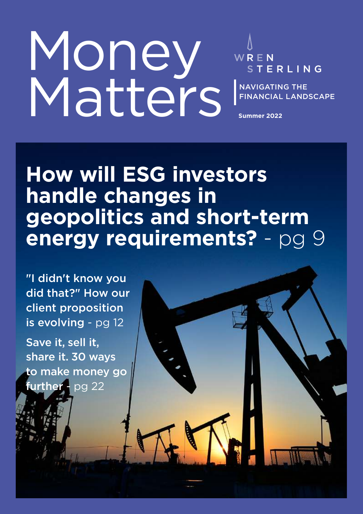# Money Matters

WREN STERLING

NAVIGATING THE FINANCIAL LANDSCAPE

**Summer 2022**

## **How will ESG investors handle changes in geopolitics and short-term energy requirements?** - pg 9

"I didn't know you did that?" How our client proposition is evolving - pg 12

Save it, sell it, share it. 30 ways to make money go further - pg 22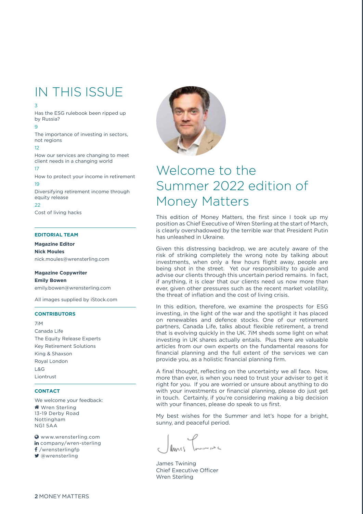### IN THIS ISSUE

#### 3

Has the ESG rulebook been ripped up by Russia?

#### $\alpha$

The importance of investing in sectors, not regions

#### 12

How our services are changing to meet client needs in a changing world

#### 17

How to protect your income in retirement 19

Diversifying retirement income through equity release

 $22$ Cost of living hacks

#### **EDITORIAL TEAM**

#### **Magazine Editor**

**Nick Moules**

nick.moules@wrensterling.com

#### **Magazine Copywriter Emily Bowen**

emily.bowen@wrensterling.com

All images supplied by iStock.com

#### **CONTRIBUTORS**

7iM Canada Life The Equity Release Experts Key Retirement Solutions King & Shaxson Royal London L&G Liontrust

#### **CONTACT**

We welcome your feedback: **Wren Sterling** 13-19 Derby Road Nottingham NG1 5AA

 www.wrensterling.com in company/wren-sterling  $f$ /wrensterlingfp @wrensterling



### Welcome to the Summer 2022 edition of Money Matters

This edition of Money Matters, the first since I took up my position as Chief Executive of Wren Sterling at the start of March, is clearly overshadowed by the terrible war that President Putin has unleashed in Ukraine.

Given this distressing backdrop, we are acutely aware of the risk of striking completely the wrong note by talking about investments, when only a few hours flight away, people are being shot in the street. Yet our responsibility to guide and advise our clients through this uncertain period remains. In fact, if anything, it is clear that our clients need us now more than ever, given other pressures such as the recent market volatility, the threat of inflation and the cost of living crisis.

In this edition, therefore, we examine the prospects for ESG investing, in the light of the war and the spotlight it has placed on renewables and defence stocks. One of our retirement partners, Canada Life, talks about flexible retirement, a trend that is evolving quickly in the UK. 7iM sheds some light on what investing in UK shares actually entails. Plus there are valuable articles from our own experts on the fundamental reasons for financial planning and the full extent of the services we can provide you, as a holistic financial planning firm.

A final thought, reflecting on the uncertainty we all face. Now, more than ever, is when you need to trust your adviser to get it right for you. If you are worried or unsure about anything to do with your investments or financial planning, please do just get in touch. Certainly, if you're considering making a big decision with your finances, please do speak to us first.

My best wishes for the Summer and let's hope for a bright, sunny, and peaceful period.

James Twining Chief Executive Officer Wren Sterling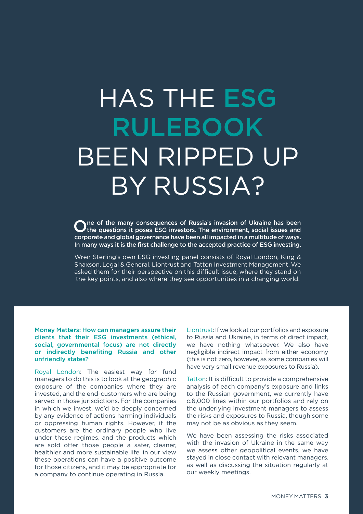## HAS THE ESG RULEBOOK BEEN RIPPED UP BY RUSSIA?

One of the many consequences of Russia's invasion of Ukraine has been<br>Othe questions it poses ESG investors. The environment, social issues and the questions it poses ESG investors. The environment, social issues and corporate and global governance have been all impacted in a multitude of ways. In many ways it is the first challenge to the accepted practice of ESG investing.

Wren Sterling's own ESG investing panel consists of Royal London, King & Shaxson, Legal & General, Liontrust and Tatton Investment Management. We asked them for their perspective on this difficult issue, where they stand on the key points, and also where they see opportunities in a changing world.

Money Matters: How can managers assure their clients that their ESG investments (ethical, social, governmental focus) are not directly or indirectly benefiting Russia and other unfriendly states?

Royal London: The easiest way for fund managers to do this is to look at the geographic exposure of the companies where they are invested, and the end-customers who are being served in those jurisdictions. For the companies in which we invest, we'd be deeply concerned by any evidence of actions harming individuals or oppressing human rights. However, if the customers are the ordinary people who live under these regimes, and the products which are sold offer those people a safer, cleaner, healthier and more sustainable life, in our view these operations can have a positive outcome for those citizens, and it may be appropriate for a company to continue operating in Russia.

Liontrust: If we look at our portfolios and exposure to Russia and Ukraine, in terms of direct impact, we have nothing whatsoever. We also have negligible indirect impact from either economy (this is not zero, however, as some companies will have very small revenue exposures to Russia).

Tatton: It is difficult to provide a comprehensive analysis of each company's exposure and links to the Russian government, we currently have c.6,000 lines within our portfolios and rely on the underlying investment managers to assess the risks and exposures to Russia, though some may not be as obvious as they seem.

We have been assessing the risks associated with the invasion of Ukraine in the same way we assess other geopolitical events, we have stayed in close contact with relevant managers, as well as discussing the situation regularly at our weekly meetings.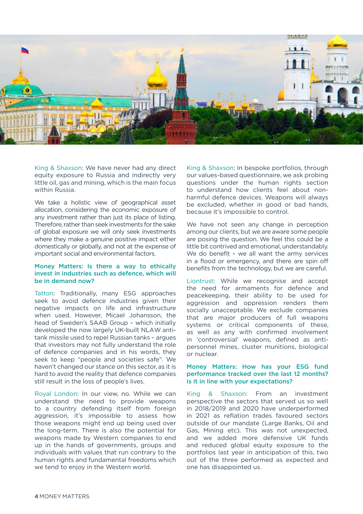

King & Shaxson: We have never had any direct equity exposure to Russia and indirectly very little oil, gas and mining, which is the main focus within Russia.

We take a holistic view of geographical asset allocation, considering the economic exposure of any investment rather than just its place of listing. Therefore, rather than seek investments for the sake of global exposure we will only seek investments where they make a genuine positive impact either domestically or globally, and not at the expense of important social and environmental factors.

#### Money Matters: Is there a way to ethically invest in industries such as defence, which will be in demand now?

Tatton: Traditionally, many ESG approaches seek to avoid defence industries given their negative impacts on life and infrastructure when used. However, Micael Johansson, the head of Sweden's SAAB Group – which initially developed the now largely UK-built NLAW antitank missile used to repel Russian tanks – argues that investors may not fully understand the role of defence companies and in his words, they seek to keep "people and societies safe". We haven't changed our stance on this sector, as it is hard to avoid the reality that defence companies still result in the loss of people's lives.

Royal London: In our view, no. While we can understand the need to provide weapons to a country defending itself from foreign aggression, it's impossible to assess how those weapons might end up being used over the long-term. There is also the potential for weapons made by Western companies to end up in the hands of governments, groups and individuals with values that run contrary to the human rights and fundamental freedoms which we tend to enjoy in the Western world.

King & Shaxson: In bespoke portfolios, through our values-based questionnaire, we ask probing questions under the human rights section to understand how clients feel about nonharmful defence devices. Weapons will always be excluded, whether in good or bad hands, because it's impossible to control.

We have not seen any change in perception among our clients, but we are aware some people are posing the question. We feel this could be a little bit contrived and emotional, understandably. We do benefit - we all want the army services in a flood or emergency, and there are spin off benefits from the technology, but we are careful.

Liontrust: While we recognise and accept the need for armaments for defence and peacekeeping, their ability to be used for aggression and oppression renders them socially unacceptable. We exclude companies that are major producers of full weapons systems or critical components of these, as well as any with confirmed involvement in 'controversial' weapons, defined as antipersonnel mines, cluster munitions, biological or nuclear.

#### Money Matters: How has your ESG fund performance tracked over the last 12 months? Is it in line with your expectations?

King & Shaxson: From an investment perspective the sectors that served us so well in 2018/2019 and 2020 have underperformed in 2021 as reflation trades favoured sectors outside of our mandate (Large Banks, Oil and Gas, Mining etc). This was not unexpected, and we added more defensive UK funds and reduced global equity exposure to the portfolios last year in anticipation of this, two out of the three performed as expected and one has disappointed us.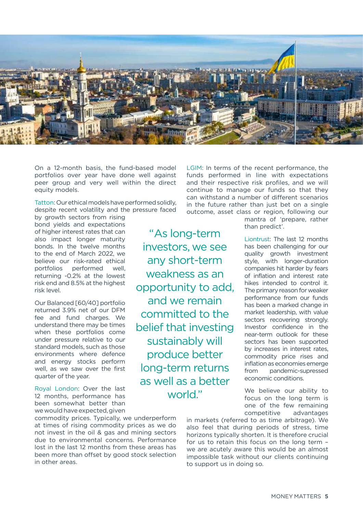

"As long-term

investors, we see

any short-term

weakness as an

opportunity to add,

and we remain

committed to the

belief that investing

sustainably will

produce better

long-term returns

as well as a better

world."

On a 12-month basis, the fund-based model portfolios over year have done well against peer group and very well within the direct equity models.

Tatton: Our ethical models have performed solidly, despite recent volatility and the pressure faced by growth sectors from rising

bond yields and expectations of higher interest rates that can also impact longer maturity bonds. In the twelve months to the end of March 2022, we believe our risk-rated ethical portfolios performed well, returning -0.2% at the lowest risk end and 8.5% at the highest risk level.

Our Balanced [60/40] portfolio returned 3.9% net of our DFM fee and fund charges. We understand there may be times when these portfolios come under pressure relative to our standard models, such as those environments where defence and energy stocks perform well, as we saw over the first quarter of the year.

Royal London: Over the last 12 months, performance has been somewhat better than we would have expected, given

commodity prices. Typically, we underperform at times of rising commodity prices as we do not invest in the oil & gas and mining sectors due to environmental concerns. Performance lost in the last 12 months from these areas has been more than offset by good stock selection in other areas.

LGIM: In terms of the recent performance, the funds performed in line with expectations and their respective risk profiles, and we will continue to manage our funds so that they can withstand a number of different scenarios in the future rather than just bet on a single outcome, asset class or region, following our

mantra of 'prepare, rather than predict'.

Liontrust: The last 12 months has been challenging for our quality growth investment style, with longer-duration companies hit harder by fears of inflation and interest rate hikes intended to control it. The primary reason for weaker performance from our funds has been a marked change in market leadership, with value sectors recovering strongly. Investor confidence in the near-term outlook for these sectors has been supported by increases in interest rates, commodity price rises and inflation as economies emerge from pandemic-supressed economic conditions.

We believe our ability to focus on the long term is one of the few remaining competitive advantages

in markets (referred to as time arbitrage). We also feel that during periods of stress, time horizons typically shorten. It is therefore crucial for us to retain this focus on the long term – we are acutely aware this would be an almost impossible task without our clients continuing to support us in doing so.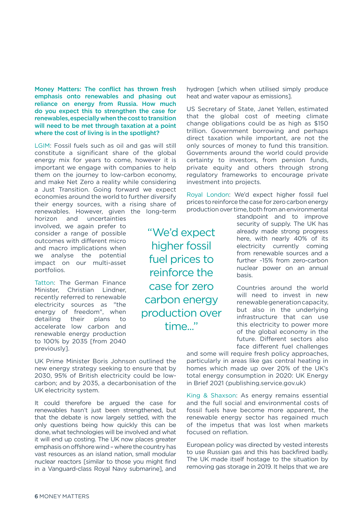Money Matters: The conflict has thrown fresh emphasis onto renewables and phasing out reliance on energy from Russia. How much do you expect this to strengthen the case for renewables, especially when the cost to transition will need to be met through taxation at a point where the cost of living is in the spotlight?

LGIM: Fossil fuels such as oil and gas will still constitute a significant share of the global energy mix for years to come, however it is important we engage with companies to help them on the journey to low-carbon economy, and make Net Zero a reality while considering a Just Transition. Going forward we expect economies around the world to further diversify their energy sources, with a rising share of renewables. However, given the long-term

horizon and uncertainties involved, we again prefer to consider a range of possible outcomes with different micro and macro implications when we analyse the potential impact on our multi-asset portfolios.

Tatton: The German Finance Minister, Christian Lindner, recently referred to renewable electricity sources as "the energy of freedom", when detailing their plans to accelerate low carbon and renewable energy production to 100% by 2035 [from 2040 previously].

UK Prime Minister Boris Johnson outlined the new energy strategy seeking to ensure that by 2030, 95% of British electricity could be lowcarbon; and by 2035, a decarbonisation of the UK electricity system.

It could therefore be argued the case for renewables hasn't just been strengthened, but that the debate is now largely settled, with the only questions being how quickly this can be done, what technologies will be involved and what it will end up costing. The UK now places greater emphasis on offshore wind – where the country has vast resources as an island nation, small modular nuclear reactors [similar to those you might find in a Vanguard-class Royal Navy submarine], and hydrogen [which when utilised simply produce heat and water vapour as emissions].

US Secretary of State, Janet Yellen, estimated that the global cost of meeting climate change obligations could be as high as \$150 trillion. Government borrowing and perhaps direct taxation while important, are not the only sources of money to fund this transition. Governments around the world could provide certainty to investors, from pension funds, private equity and others through strong regulatory frameworks to encourage private investment into projects.

Royal London: We'd expect higher fossil fuel prices to reinforce the case for zero carbon energy production over time, both from an environmental

"We'd expect higher fossil fuel prices to reinforce the case for zero carbon energy production over time..."

standpoint and to improve security of supply. The UK has already made strong progress here, with nearly 40% of its electricity currently coming from renewable sources and a further ~15% from zero-carbon nuclear power on an annual basis.

Countries around the world will need to invest in new renewable generation capacity, but also in the underlying infrastructure that can use this electricity to power more of the global economy in the future. Different sectors also face different fuel challenges

and some will require fresh policy approaches, particularly in areas like gas central heating in homes which made up over 20% of the UK's total energy consumption in 2020: UK Energy in Brief 2021 (publishing.service.gov.uk)

King & Shaxson: As energy remains essential and the full social and environmental costs of fossil fuels have become more apparent, the renewable energy sector has regained much of the impetus that was lost when markets focused on reflation.

European policy was directed by vested interests to use Russian gas and this has backfired badly. The UK made itself hostage to the situation by removing gas storage in 2019. It helps that we are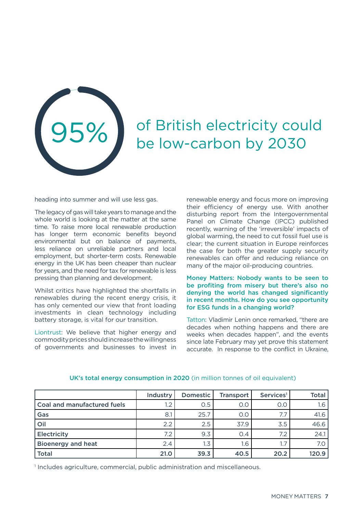

## of British electricity could be low-carbon by 2030

heading into summer and will use less gas.

The legacy of gas will take years to manage and the whole world is looking at the matter at the same time. To raise more local renewable production has longer term economic benefits beyond environmental but on balance of payments, less reliance on unreliable partners and local employment, but shorter-term costs. Renewable energy in the UK has been cheaper than nuclear for years, and the need for tax for renewable is less pressing than planning and development.

Whilst critics have highlighted the shortfalls in renewables during the recent energy crisis, it has only cemented our view that front loading investments in clean technology including battery storage, is vital for our transition.

Liontrust: We believe that higher energy and commodity prices should increase the willingness of governments and businesses to invest in renewable energy and focus more on improving their efficiency of energy use. With another disturbing report from the Intergovernmental Panel on Climate Change (IPCC) published recently, warning of the 'irreversible' impacts of global warming, the need to cut fossil fuel use is clear; the current situation in Europe reinforces the case for both the greater supply security renewables can offer and reducing reliance on many of the major oil-producing countries.

#### Money Matters: Nobody wants to be seen to be profiting from misery but there's also no denying the world has changed significantly in recent months. How do you see opportunity for ESG funds in a changing world?

Tatton: Vladimir Lenin once remarked, "there are decades when nothing happens and there are weeks when decades happen", and the events since late February may yet prove this statement accurate. In response to the conflict in Ukraine,

|                             | Industry | Domestic | <b>Transport</b> | Services <sup>1</sup> | <b>Total</b> |
|-----------------------------|----------|----------|------------------|-----------------------|--------------|
| Coal and manufactured fuels | $1.2\,$  | 0.5      | O.C              | O.C                   | 1.6          |
| Gas                         | 8.1      | 25.7     | O.O              |                       | 41.6         |
| Oil                         | 2.2      | 2.5      | 37.9             | 3.5                   | 46.6         |
| Electricity                 | 7.2      | 9.3      | 0.4              | 7.2                   | 24.1         |
| <b>Bioenergy and heat</b>   | 2.4      | 1.3      | 1.6              |                       | 7.0          |
| <b>Total</b>                | 21.0     | 39.3     | 40.5             | 20.2                  | 120.9        |

#### UK's total energy consumption in 2020 (in million tonnes of oil equivalent)

1 Includes agriculture, commercial, public administration and miscellaneous.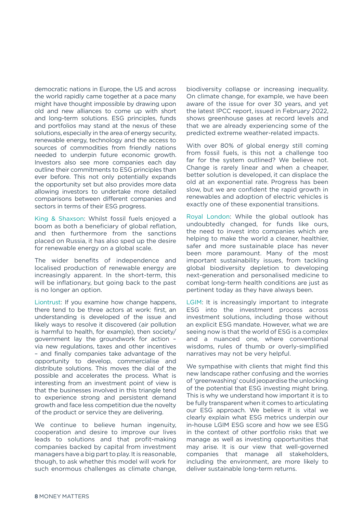democratic nations in Europe, the US and across the world rapidly came together at a pace many might have thought impossible by drawing upon old and new alliances to come up with short and long-term solutions. ESG principles, funds and portfolios may stand at the nexus of these solutions, especially in the area of energy security, renewable energy, technology and the access to sources of commodities from friendly nations needed to underpin future economic growth. Investors also see more companies each day outline their commitments to ESG principles than ever before. This not only potentially expands the opportunity set but also provides more data allowing investors to undertake more detailed comparisons between different companies and sectors in terms of their ESG progress.

King & Shaxson: Whilst fossil fuels enjoyed a boom as both a beneficiary of global reflation, and then furthermore from the sanctions placed on Russia, it has also sped up the desire for renewable energy on a global scale.

The wider benefits of independence and localised production of renewable energy are increasingly apparent. In the short-term, this will be inflationary, but going back to the past is no longer an option.

Liontrust: If you examine how change happens, there tend to be three actors at work: first, an understanding is developed of the issue and likely ways to resolve it discovered (air pollution is harmful to health, for example), then society/ government lay the groundwork for action – via new regulations, taxes and other incentives – and finally companies take advantage of the opportunity to develop, commercialise and distribute solutions. This moves the dial of the possible and accelerates the process. What is interesting from an investment point of view is that the businesses involved in this triangle tend to experience strong and persistent demand growth and face less competition due the novelty of the product or service they are delivering.

We continue to believe human ingenuity, cooperation and desire to improve our lives leads to solutions and that profit-making companies backed by capital from investment managers have a big part to play. It is reasonable, though, to ask whether this model will work for such enormous challenges as climate change,

biodiversity collapse or increasing inequality. On climate change, for example, we have been aware of the issue for over 30 years, and yet the latest IPCC report, issued in February 2022, shows greenhouse gases at record levels and that we are already experiencing some of the predicted extreme weather-related impacts.

With over 80% of global energy still coming from fossil fuels, is this not a challenge too far for the system outlined? We believe not. Change is rarely linear and when a cheaper, better solution is developed, it can displace the old at an exponential rate. Progress has been slow, but we are confident the rapid growth in renewables and adoption of electric vehicles is exactly one of these exponential transitions.

Royal London: While the global outlook has undoubtedly changed, for funds like ours, the need to invest into companies which are helping to make the world a cleaner, healthier, safer and more sustainable place has never been more paramount. Many of the most important sustainability issues, from tackling global biodiversity depletion to developing next-generation and personalised medicine to combat long-term health conditions are just as pertinent today as they have always been.

LGIM: It is increasingly important to integrate ESG into the investment process across investment solutions, including those without an explicit ESG mandate. However, what we are seeing now is that the world of ESG is a complex and a nuanced one, where conventional wisdoms, rules of thumb or overly-simplified narratives may not be very helpful.

We sympathise with clients that might find this new landscape rather confusing and the worries of 'greenwashing' could jeopardise the unlocking of the potential that ESG investing might bring. This is why we understand how important it is to be fully transparent when it comes to articulating our ESG approach. We believe it is vital we clearly explain what ESG metrics underpin our in-house LGIM ESG score and how we see ESG in the context of other portfolio risks that we manage as well as investing opportunities that may arise. It is our view that well-governed companies that manage all stakeholders, including the environment, are more likely to deliver sustainable long-term returns.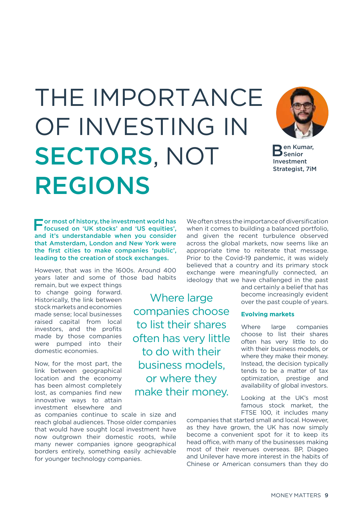## THE IMPORTANCE OF INVESTING IN SECTORS, NOT REGIONS

Where large

companies choose

to list their shares

often has very little

to do with their

business models,

or where they

make their money.



Ben Kumar, Senior Investment Strategist, 7iM

F or most of history, the investment world has focused on 'UK stocks' and 'US equities', and it's understandable when you consider that Amsterdam, London and New York were the first cities to make companies 'public', leading to the creation of stock exchanges.

However, that was in the 1600s. Around 400 years later and some of those bad habits

remain, but we expect things to change going forward. Historically, the link between stock markets and economies made sense; local businesses raised capital from local investors, and the profits made by those companies were pumped into their domestic economies.

Now, for the most part, the link between geographical location and the economy has been almost completely lost, as companies find new innovative ways to attain investment elsewhere and

as companies continue to scale in size and reach global audiences. Those older companies that would have sought local investment have now outgrown their domestic roots, while many newer companies ignore geographical borders entirely, something easily achievable for younger technology companies.

when it comes to building a balanced portfolio, and given the recent turbulence observed across the global markets, now seems like an appropriate time to reiterate that message. Prior to the Covid-19 pandemic, it was widely believed that a country and its primary stock exchange were meaningfully connected, an ideology that we have challenged in the past and certainly a belief that has

We often stress the importance of diversification

become increasingly evident over the past couple of years.

#### **Evolving markets**

Where large companies choose to list their shares often has very little to do with their business models, or where they make their money. Instead, the decision typically tends to be a matter of tax optimization, prestige and availability of global investors.

Looking at the UK's most famous stock market, the FTSE 100, it includes many

companies that started small and local. However, as they have grown, the UK has now simply become a convenient spot for it to keep its head office, with many of the businesses making most of their revenues overseas. BP, Diageo and Unilever have more interest in the habits of Chinese or American consumers than they do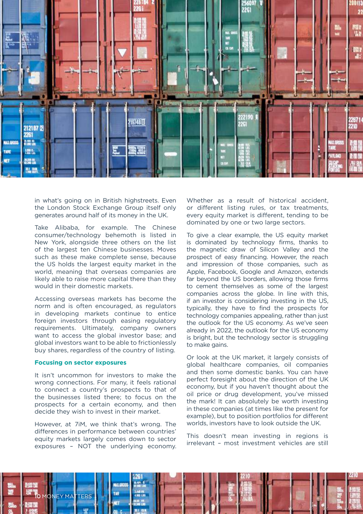

in what's going on in British highstreets. Even the London Stock Exchange Group itself only generates around half of its money in the UK.

Take Alibaba, for example. The Chinese consumer/technology behemoth is listed in New York, alongside three others on the list of the largest ten Chinese businesses. Moves such as these make complete sense, because the US holds the largest equity market in the world, meaning that overseas companies are likely able to raise more capital there than they would in their domestic markets.

Accessing overseas markets has become the norm and is often encouraged, as regulators in developing markets continue to entice foreign investors through easing regulatory requirements. Ultimately, company owners want to access the global investor base; and global investors want to be able to frictionlessly buy shares, regardless of the country of listing.

#### **Focusing on sector exposures**

It isn't uncommon for investors to make the wrong connections. For many, it feels rational to connect a country's prospects to that of the businesses listed there; to focus on the prospects for a certain economy, and then decide they wish to invest in their market.

However, at 7iM, we think that's wrong. The differences in performance between countries' equity markets largely comes down to sector exposures – NOT the underlying economy.

Whether as a result of historical accident. or different listing rules, or tax treatments, every equity market is different, tending to be dominated by one or two large sectors.

To give a clear example, the US equity market is dominated by technology firms, thanks to the magnetic draw of Silicon Valley and the prospect of easy financing. However, the reach and impression of those companies, such as Apple, Facebook, Google and Amazon, extends far beyond the US borders, allowing those firms to cement themselves as some of the largest companies across the globe. In line with this, if an investor is considering investing in the US, typically, they have to find the prospects for technology companies appealing, rather than just the outlook for the US economy. As we've seen already in 2022, the outlook for the US economy is bright, but the technology sector is struggling to make gains.

Or look at the UK market, it largely consists of global healthcare companies, oil companies and then some domestic banks. You can have perfect foresight about the direction of the UK economy, but if you haven't thought about the oil price or drug development, you've missed the mark! It can absolutely be worth investing in these companies (at times like the present for example), but to position portfolios for different worlds, investors have to look outside the UK.

This doesn't mean investing in regions is irrelevant – most investment vehicles are still

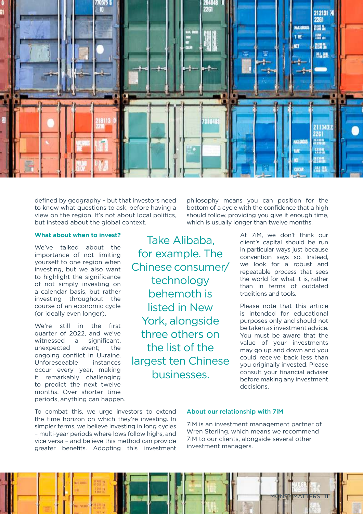![](_page_10_Picture_0.jpeg)

defined by geography – but that investors need to know what questions to ask, before having a view on the region. It's not about local politics, but instead about the global context.

#### **What about when to invest?**

We've talked about the importance of not limiting yourself to one region when investing, but we also want to highlight the significance of not simply investing on a calendar basis, but rather investing throughout the course of an economic cycle (or ideally even longer).

We're still in the first quarter of 2022, and we've witnessed a significant, unexpected event; the ongoing conflict in Ukraine. Unforeseeable instances occur every year, making it remarkably challenging to predict the next twelve months. Over shorter time periods, anything can happen.

Take Alibaba, for example. The Chinese consumer/ technology behemoth is listed in New York, alongside three others on the list of the largest ten Chinese businesses.

philosophy means you can position for the bottom of a cycle with the confidence that a high should follow, providing you give it enough time, which is usually longer than twelve months.

> At 7iM, we don't think our client's capital should be run in particular ways just because convention says so. Instead, we look for a robust and repeatable process that sees the world for what it is, rather than in terms of outdated traditions and tools.

> Please note that this article is intended for educational purposes only and should not be taken as investment advice. You must be aware that the value of your investments may go up and down and you could receive back less than you originally invested. Please consult your financial adviser before making any investment decisions.

To combat this, we urge investors to extend the time horizon on which they're investing. In simpler terms, we believe investing in long cycles – multi-year periods where lows follow highs, and vice versa – and believe this method can provide greater benefits. Adopting this investment

#### About our relationship with 7iM

7iM is an investment management partner of Wren Sterling, which means we recommend 7iM to our clients, alongside several other investment managers.

![](_page_10_Picture_12.jpeg)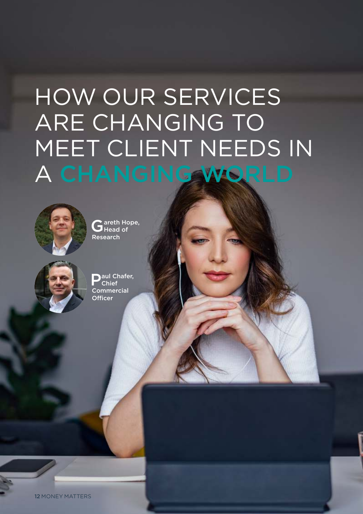## HOW OUR SERVICES ARE CHANGING TO MEET CLIENT NEEDS IN A CHANGING WORLD

![](_page_11_Picture_1.jpeg)

Gareth Hope, Head of Research

![](_page_11_Picture_3.jpeg)

Paul Chafer, Chief **Commercial Officer** 

12 MONEY MATTERS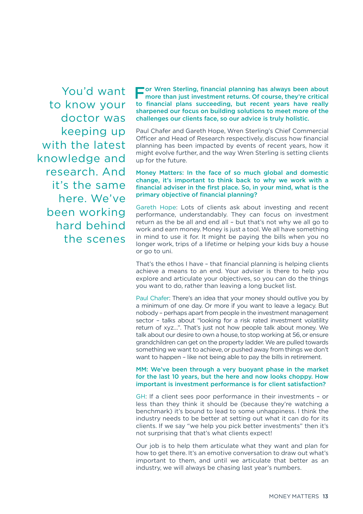You'd want to know your doctor was keeping up with the latest knowledge and research. And it's the same here. We've been working hard behind the scenes For Wren Sterling, financial planning has always been about<br>more than just investment returns. Of course, they're critical more than just investment returns. Of course, they're critical to financial plans succeeding, but recent years have really sharpened our focus on building solutions to meet more of the challenges our clients face, so our advice is truly holistic.

Paul Chafer and Gareth Hope, Wren Sterling's Chief Commercial Officer and Head of Research respectively, discuss how financial planning has been impacted by events of recent years, how it might evolve further, and the way Wren Sterling is setting clients up for the future.

#### Money Matters: In the face of so much global and domestic change, it's important to think back to why we work with a financial adviser in the first place. So, in your mind, what is the primary objective of financial planning?

Gareth Hope: Lots of clients ask about investing and recent performance, understandably. They can focus on investment return as the be all and end all – but that's not why we all go to work and earn money. Money is just a tool. We all have something in mind to use it for. It might be paying the bills when you no longer work, trips of a lifetime or helping your kids buy a house or go to uni.

That's the ethos I have – that financial planning is helping clients achieve a means to an end. Your adviser is there to help you explore and articulate your objectives, so you can do the things you want to do, rather than leaving a long bucket list.

Paul Chafer: There's an idea that your money should outlive you by a minimum of one day. Or more if you want to leave a legacy. But nobody – perhaps apart from people in the investment management sector – talks about "looking for a risk rated investment volatility return of xyz…". That's just not how people talk about money. We talk about our desire to own a house, to stop working at 56, or ensure grandchildren can get on the property ladder. We are pulled towards something we want to achieve, or pushed away from things we don't want to happen - like not being able to pay the bills in retirement.

#### MM: We've been through a very buoyant phase in the market for the last 10 years, but the here and now looks choppy. How important is investment performance is for client satisfaction?

GH: If a client sees poor performance in their investments – or less than they think it should be (because they're watching a benchmark) it's bound to lead to some unhappiness. I think the industry needs to be better at setting out what it can do for its clients. If we say "we help you pick better investments" then it's not surprising that that's what clients expect!

Our job is to help them articulate what they want and plan for how to get there. It's an emotive conversation to draw out what's important to them, and until we articulate that better as an industry, we will always be chasing last year's numbers.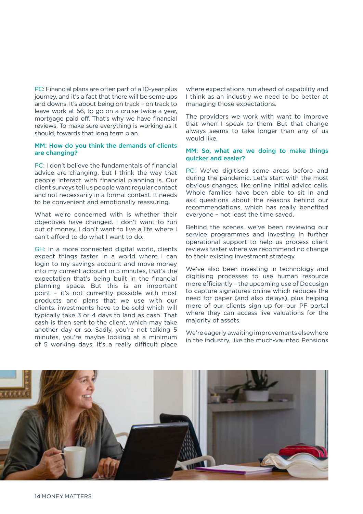PC: Financial plans are often part of a 10-year plus journey, and it's a fact that there will be some ups and downs. It's about being on track – on track to leave work at 56, to go on a cruise twice a year, mortgage paid off. That's why we have financial reviews. To make sure everything is working as it should, towards that long term plan.

#### MM: How do you think the demands of clients are changing?

PC: I don't believe the fundamentals of financial advice are changing, but I think the way that people interact with financial planning is. Our client surveys tell us people want regular contact and not necessarily in a formal context. It needs to be convenient and emotionally reassuring.

What we're concerned with is whether their objectives have changed. I don't want to run out of money, I don't want to live a life where I can't afford to do what I want to do.

GH: In a more connected digital world, clients expect things faster. In a world where I can login to my savings account and move money into my current account in 5 minutes, that's the expectation that's being built in the financial planning space. But this is an important point – it's not currently possible with most products and plans that we use with our clients. investments have to be sold which will typically take 3 or 4 days to land as cash. That cash is then sent to the client, which may take another day or so. Sadly, you're not talking 5 minutes, you're maybe looking at a minimum of 5 working days. It's a really difficult place

where expectations run ahead of capability and I think as an industry we need to be better at managing those expectations.

The providers we work with want to improve that when I speak to them. But that change always seems to take longer than any of us would like.

#### MM: So, what are we doing to make things quicker and easier?

PC: We've digitised some areas before and during the pandemic. Let's start with the most obvious changes, like online initial advice calls. Whole families have been able to sit in and ask questions about the reasons behind our recommendations, which has really benefited everyone – not least the time saved.

Behind the scenes, we've been reviewing our service programmes and investing in further operational support to help us process client reviews faster where we recommend no change to their existing investment strategy.

We've also been investing in technology and digitising processes to use human resource more efficiently – the upcoming use of Docusign to capture signatures online which reduces the need for paper (and also delays), plus helping more of our clients sign up for our PF portal where they can access live valuations for the majority of assets.

We're eagerly awaiting improvements elsewhere in the industry, like the much-vaunted Pensions

![](_page_13_Picture_12.jpeg)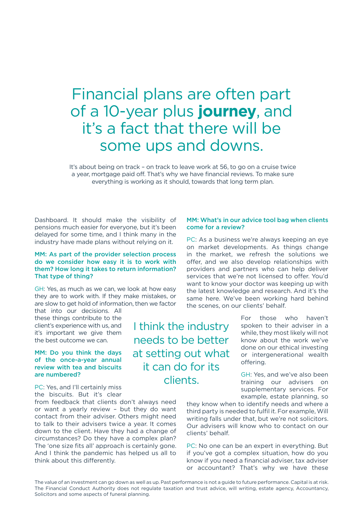### Financial plans are often part of a 10-year plus **journey**, and it's a fact that there will be some ups and downs.

It's about being on track – on track to leave work at 56, to go on a cruise twice a year, mortgage paid off. That's why we have financial reviews. To make sure everything is working as it should, towards that long term plan.

Dashboard. It should make the visibility of pensions much easier for everyone, but it's been delayed for some time, and I think many in the industry have made plans without relying on it.

#### MM: As part of the provider selection process do we consider how easy it is to work with them? How long it takes to return information? That type of thing?

GH: Yes, as much as we can, we look at how easy they are to work with. If they make mistakes, or are slow to get hold of information, then we factor

that into our decisions. All these things contribute to the client's experience with us, and it's important we give them the best outcome we can.

#### MM: Do you think the days of the once-a-year annual review with tea and biscuits are numbered?

PC: Yes, and I'll certainly miss the biscuits. But it's clear

from feedback that clients don't always need or want a yearly review – but they do want contact from their adviser. Others might need to talk to their advisers twice a year. It comes down to the client. Have they had a change of circumstances? Do they have a complex plan? The 'one size fits all' approach is certainly gone. And I think the pandemic has helped us all to think about this differently.

#### MM: What's in our advice tool bag when clients come for a review?

PC: As a business we're always keeping an eye on market developments. As things change in the market, we refresh the solutions we offer, and we also develop relationships with providers and partners who can help deliver services that we're not licensed to offer. You'd want to know your doctor was keeping up with the latest knowledge and research. And it's the same here. We've been working hard behind the scenes, on our clients' behalf.

> For those who haven't spoken to their adviser in a while, they most likely will not know about the work we've done on our ethical investing or intergenerational wealth offering.

> GH: Yes, and we've also been training our advisers on supplementary services. For example, estate planning, so

they know when to identify needs and where a third party is needed to fulfil it. For example, Will writing falls under that, but we're not solicitors. Our advisers will know who to contact on our clients' behalf.

PC: No one can be an expert in everything. But if you've got a complex situation, how do you know if you need a financial adviser, tax adviser or accountant? That's why we have these

The value of an investment can go down as well as up. Past performance is not a guide to future performance. Capital is at risk. The Financial Conduct Authority does not regulate taxation and trust advice, will writing, estate agency, Accountancy, Solicitors and some aspects of funeral planning.

I think the industry needs to be better at setting out what it can do for its clients.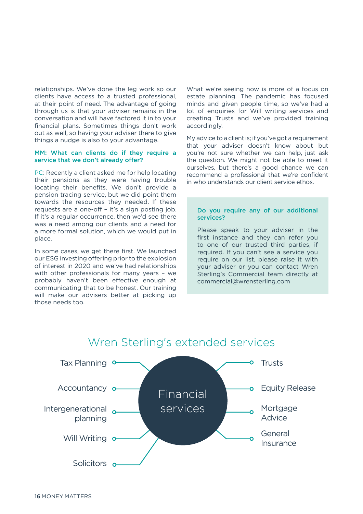relationships. We've done the leg work so our clients have access to a trusted professional, at their point of need. The advantage of going through us is that your adviser remains in the conversation and will have factored it in to your financial plans. Sometimes things don't work out as well, so having your adviser there to give things a nudge is also to your advantage.

#### MM: What can clients do if they require a service that we don't already offer?

PC: Recently a client asked me for help locating their pensions as they were having trouble locating their benefits. We don't provide a pension tracing service, but we did point them towards the resources they needed. If these requests are a one-off – it's a sign posting job. If it's a regular occurrence, then we'd see there was a need among our clients and a need for a more formal solution, which we would put in place.

In some cases, we get there first. We launched our ESG investing offering prior to the explosion of interest in 2020 and we've had relationships with other professionals for many years – we probably haven't been effective enough at communicating that to be honest. Our training will make our advisers better at picking up those needs too.

What we're seeing now is more of a focus on estate planning. The pandemic has focused minds and given people time, so we've had a lot of enquiries for Will writing services and creating Trusts and we've provided training accordingly.

My advice to a client is; if you've got a requirement that your adviser doesn't know about but you're not sure whether we can help, just ask the question. We might not be able to meet it ourselves, but there's a good chance we can recommend a professional that we're confident in who understands our client service ethos.

#### Do you require any of our additional services?

Please speak to your adviser in the first instance and they can refer you to one of our trusted third parties, if required. If you can't see a service you require on our list, please raise it with your adviser or you can contact Wren Sterling's Commercial team directly at commercial@wrensterling.com

![](_page_15_Figure_8.jpeg)

#### Wren Sterling's extended services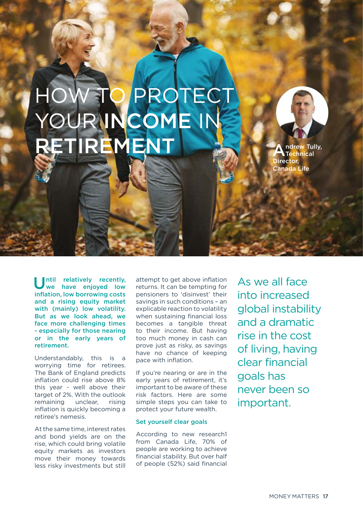## PROTECT YOUR INCOME IN RETIREMENT

A ndrew Tully, Technical Director, Canada Life

Until relatively recently,<br>we have enjoyed low we have enjoyed low inflation, low borrowing costs and a rising equity market with (mainly) low volatility. But as we look ahead, we face more challenging times - especially for those nearing or in the early years of retirement.

Understandably, this is a worrying time for retirees. The Bank of England predicts inflation could rise above 8% this year - well above their target of 2%. With the outlook remaining unclear, rising inflation is quickly becoming a retiree's nemesis.

At the same time, interest rates and bond yields are on the rise, which could bring volatile equity markets as investors move their money towards less risky investments but still attempt to get above inflation returns. It can be tempting for pensioners to 'disinvest' their savings in such conditions – an explicable reaction to volatility when sustaining financial loss becomes a tangible threat to their income. But having too much money in cash can prove just as risky, as savings have no chance of keeping pace with inflation.

If you're nearing or are in the early years of retirement, it's important to be aware of these risk factors. Here are some simple steps you can take to protect your future wealth.

#### Set yourself clear goals

According to new research1 from Canada Life, 70% of people are working to achieve financial stability. But over half of people (52%) said financial As we all face into increased global instability and a dramatic rise in the cost of living, having clear financial goals has never been so important.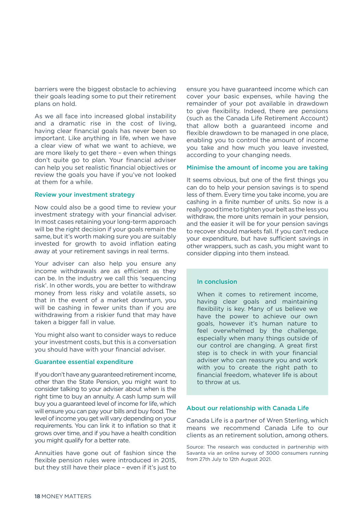barriers were the biggest obstacle to achieving their goals leading some to put their retirement plans on hold.

As we all face into increased global instability and a dramatic rise in the cost of living, having clear financial goals has never been so important. Like anything in life, when we have a clear view of what we want to achieve, we are more likely to get there – even when things don't quite go to plan. Your financial adviser can help you set realistic financial objectives or review the goals you have if you've not looked at them for a while.

#### Review your investment strategy

Now could also be a good time to review your investment strategy with your financial adviser. In most cases retaining your long-term approach will be the right decision if your goals remain the same, but it's worth making sure you are suitably invested for growth to avoid inflation eating away at your retirement savings in real terms.

Your adviser can also help you ensure any income withdrawals are as efficient as they can be. In the industry we call this 'sequencing risk'. In other words, you are better to withdraw money from less risky and volatile assets, so that in the event of a market downturn, you will be cashing in fewer units than if you are withdrawing from a riskier fund that may have taken a bigger fall in value.

You might also want to consider ways to reduce your investment costs, but this is a conversation you should have with your financial adviser.

#### Guarantee essential expenditure

If you don't have any guaranteed retirement income, other than the State Pension, you might want to consider talking to your adviser about when is the right time to buy an annuity. A cash lump sum will buy you a guaranteed level of income for life, which will ensure you can pay your bills and buy food. The level of income you get will vary depending on your requirements. You can link it to inflation so that it grows over time, and if you have a health condition you might qualify for a better rate.

Annuities have gone out of fashion since the flexible pension rules were introduced in 2015, but they still have their place – even if it's just to

ensure you have guaranteed income which can cover your basic expenses, while having the remainder of your pot available in drawdown to give flexibility. Indeed, there are pensions (such as the Canada Life Retirement Account) that allow both a guaranteed income and flexible drawdown to be managed in one place, enabling you to control the amount of income you take and how much you leave invested, according to your changing needs.

#### Minimise the amount of income you are taking

It seems obvious, but one of the first things you can do to help your pension savings is to spend less of them. Every time you take income, you are cashing in a finite number of units. So now is a really good time to tighten your belt as the less you withdraw, the more units remain in your pension, and the easier it will be for your pension savings to recover should markets fall. If you can't reduce your expenditure, but have sufficient savings in other wrappers, such as cash, you might want to consider dipping into them instead.

#### In conclusion

When it comes to retirement income, having clear goals and maintaining flexibility is key. Many of us believe we have the power to achieve our own goals, however it's human nature to feel overwhelmed by the challenge, especially when many things outside of our control are changing. A great first step is to check in with your financial adviser who can reassure you and work with you to create the right path to financial freedom, whatever life is about to throw at us.

#### About our relationship with Canada Life

Canada Life is a partner of Wren Sterling, which means we recommend Canada Life to our clients as an retirement solution, among others.

Source: The research was conducted in partnership with Savanta via an online survey of 3000 consumers running from 27th July to 12th August 2021.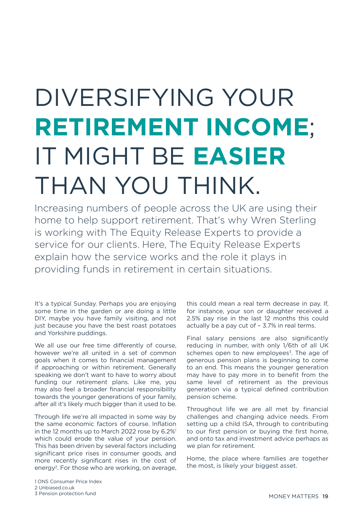## DIVERSIFYING YOUR **RETIREMENT INCOME**; IT MIGHT BE **EASIER** THAN YOU THINK.

Increasing numbers of people across the UK are using their home to help support retirement. That's why Wren Sterling is working with The Equity Release Experts to provide a service for our clients. Here, The Equity Release Experts explain how the service works and the role it plays in providing funds in retirement in certain situations.

It's a typical Sunday. Perhaps you are enjoying some time in the garden or are doing a little DIY, maybe you have family visiting, and not just because you have the best roast potatoes and Yorkshire puddings.

We all use our free time differently of course, however we're all united in a set of common goals when it comes to financial management if approaching or within retirement. Generally speaking we don't want to have to worry about funding our retirement plans. Like me, you may also feel a broader financial responsibility towards the younger generations of your family, after all it's likely much bigger than it used to be.

Through life we're all impacted in some way by the same economic factors of course. Inflation in the 12 months up to March 2022 rose by 6.2%<sup>1</sup> which could erode the value of your pension. This has been driven by several factors including significant price rises in consumer goods, and more recently significant rises in the cost of energy<sup>2</sup>. For those who are working, on average, this could mean a real term decrease in pay. If, for instance, your son or daughter received a 2.5% pay rise in the last 12 months this could actually be a pay cut of – 3.7% in real terms.

Final salary pensions are also significantly reducing in number, with only 1/6th of all UK schemes open to new employees<sup>3</sup>. The age of generous pension plans is beginning to come to an end. This means the younger generation may have to pay more in to benefit from the same level of retirement as the previous generation via a typical defined contribution pension scheme.

Throughout life we are all met by financial challenges and changing advice needs. From setting up a child ISA, through to contributing to our first pension or buying the first home, and onto tax and investment advice perhaps as we plan for retirement.

Home, the place where families are together the most, is likely your biggest asset.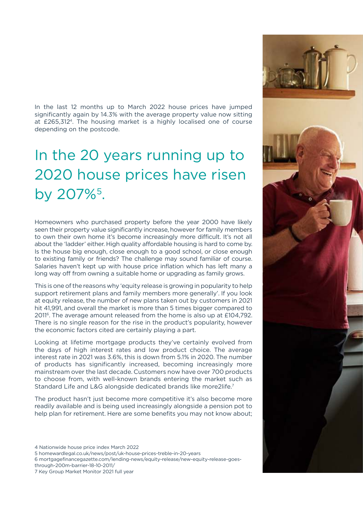In the last 12 months up to March 2022 house prices have jumped significantly again by 14.3% with the average property value now sitting at £265,312<sup>4</sup> . The housing market is a highly localised one of course depending on the postcode.

## In the 20 years running up to 2020 house prices have risen by 207%<sup>5</sup>.

Homeowners who purchased property before the year 2000 have likely seen their property value significantly increase, however for family members to own their own home it's become increasingly more difficult. It's not all about the 'ladder' either. High quality affordable housing is hard to come by. Is the house big enough, close enough to a good school, or close enough to existing family or friends? The challenge may sound familiar of course. Salaries haven't kept up with house price inflation which has left many a long way off from owning a suitable home or upgrading as family grows.

This is one of the reasons why 'equity release is growing in popularity to help support retirement plans and family members more generally'. If you look at equity release, the number of new plans taken out by customers in 2021 hit 41,991, and overall the market is more than 5 times bigger compared to 2011<sup>6</sup> . The average amount released from the home is also up at £104,792. There is no single reason for the rise in the product's popularity, however the economic factors cited are certainly playing a part.

Looking at lifetime mortgage products they've certainly evolved from the days of high interest rates and low product choice. The average interest rate in 2021 was 3.6%, this is down from 5.1% in 2020. The number of products has significantly increased, becoming increasingly more mainstream over the last decade. Customers now have over 700 products to choose from, with well-known brands entering the market such as Standard Life and L&G alongside dedicated brands like more2life.<sup>7</sup>

The product hasn't just become more competitive it's also become more readily available and is being used increasingly alongside a pension pot to help plan for retirement. Here are some benefits you may not know about;

4 Nationwide house price index March 2022

5 homewardlegal.co.uk/news/post/uk-house-prices-treble-in-20-years

6 mortgagefinancegazette.com/lending-news/equity-release/new-equity-release-goesthrough-200m-barrier-18-10-2011/

7 Key Group Market Monitor 2021 full year

![](_page_19_Picture_10.jpeg)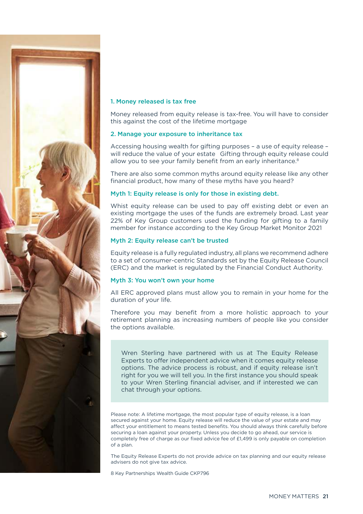![](_page_20_Picture_0.jpeg)

#### 1. Money released is tax free

Money released from equity release is tax-free. You will have to consider this against the cost of the lifetime mortgage

#### 2. Manage your exposure to inheritance tax

Accessing housing wealth for gifting purposes – a use of equity release – will reduce the value of your estate Gifting through equity release could allow you to see your family benefit from an early inheritance.<sup>8</sup>

There are also some common myths around equity release like any other financial product, how many of these myths have you heard?

#### Myth 1: Equity release is only for those in existing debt.

Whist equity release can be used to pay off existing debt or even an existing mortgage the uses of the funds are extremely broad. Last year 22% of Key Group customers used the funding for gifting to a family member for instance according to the Key Group Market Monitor 2021

#### Myth 2: Equity release can't be trusted

Equity release is a fully regulated industry, all plans we recommend adhere to a set of consumer-centric Standards set by the Equity Release Council (ERC) and the market is regulated by the Financial Conduct Authority.

#### Myth 3: You won't own your home

All ERC approved plans must allow you to remain in your home for the duration of your life.

Therefore you may benefit from a more holistic approach to your retirement planning as increasing numbers of people like you consider the options available.

Wren Sterling have partnered with us at The Equity Release Experts to offer independent advice when it comes equity release options. The advice process is robust, and if equity release isn't right for you we will tell you. In the first instance you should speak to your Wren Sterling financial adviser, and if interested we can chat through your options.

Please note: A lifetime mortgage, the most popular type of equity release, is a loan secured against your home. Equity release will reduce the value of your estate and may affect your entitlement to means tested benefits. You should always think carefully before securing a loan against your property. Unless you decide to go ahead, our service is completely free of charge as our fixed advice fee of £1,499 is only payable on completion of a plan.

The Equity Release Experts do not provide advice on tax planning and our equity release advisers do not give tax advice.

8 Key Partnerships Wealth Guide CKP796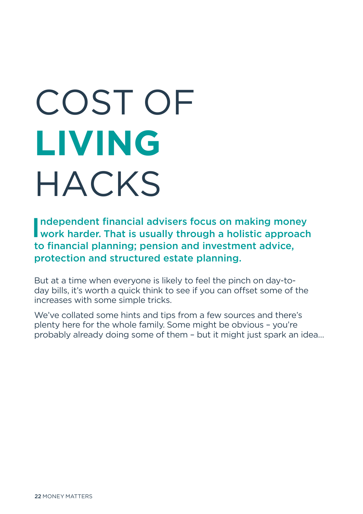# COST OF **LIVING** HACKS

Independent financial advisers focus on making money<br>work harder. That is usually through a holistic approach ndependent financial advisers focus on making money to financial planning; pension and investment advice, protection and structured estate planning.

But at a time when everyone is likely to feel the pinch on day-today bills, it's worth a quick think to see if you can offset some of the increases with some simple tricks.

We've collated some hints and tips from a few sources and there's plenty here for the whole family. Some might be obvious – you're probably already doing some of them – but it might just spark an idea…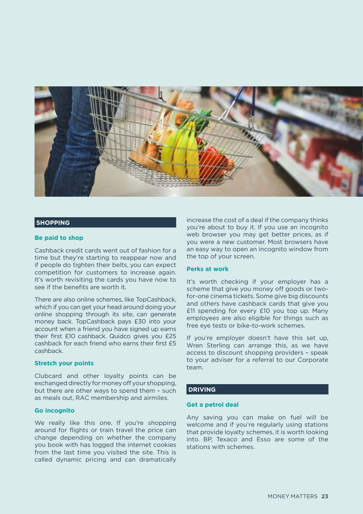![](_page_22_Picture_0.jpeg)

#### **SHOPPING**

#### **Be paid to shop**

Cashback credit cards went out of fashion for a time but they're starting to reappear now and if people do tighten their belts, you can expect competition for customers to increase again. It's worth revisiting the cards you have now to see if the benefits are worth it.

There are also online schemes, like TopCashback, which if you can get your head around doing your online shopping through its site, can generate money back. TopCashback pays £30 into your account when a friend you have signed up earns their first £10 cashback. Quidco gives you £25 cashback for each friend who earns their first £5 cashback.

#### **Stretch your points**

Clubcard and other loyalty points can be exchanged directly for money off your shopping, but there are other ways to spend them – such as meals out, RAC membership and airmiles.

#### **Go incognito**

We really like this one. If you're shopping around for flights or train travel the price can change depending on whether the company you book with has logged the internet cookies from the last time you visited the site. This is called dynamic pricing and can dramatically

increase the cost of a deal if the company thinks you're about to buy it. If you use an incognito web browser you may get better prices, as if you were a new customer. Most browsers have an easy way to open an incognito window from the top of your screen.

#### **Perks at work**

It's worth checking if your employer has a scheme that give you money off goods or twofor-one cinema tickets. Some give big discounts and others have cashback cards that give you £11 spending for every £10 you top up. Many employees are also eligible for things such as free eye tests or bike-to-work schemes.

If you're employer doesn't have this set up, Wren Sterling can arrange this, as we have access to discount shopping providers – speak to your adviser for a referral to our Corporate team.

#### **DRIVING**

#### **Get a petrol deal**

Any saving you can make on fuel will be welcome and if you're regularly using stations that provide loyalty schemes, it is worth looking into. BP, Texaco and Esso are some of the stations with schemes.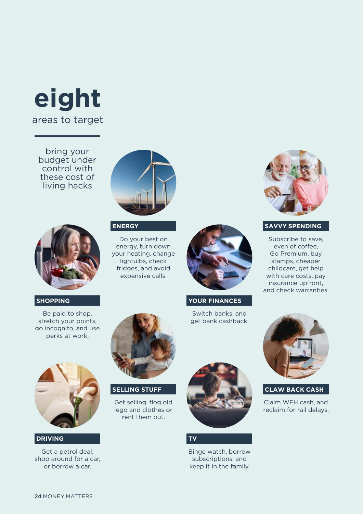## **eight** areas to target

bring your budget under control with these cost of living hacks

![](_page_23_Picture_2.jpeg)

#### **ENERGY**

Do your best on energy, turn down your heating, change lightulbs, check fridges, and avoid expensive calls.

![](_page_23_Picture_6.jpeg)

**YOUR FINANCES**

Switch banks, and get bank cashback.

![](_page_23_Picture_9.jpeg)

#### **SAVVY SPENDING**

Subscribe to save, even of coffee, Go Premium, buy stamps, cheaper childcare, get help with care costs, pay insurance upfront, and check warranties.

Be paid to shop, stretch your points, go incognito, and use

**SHOPPING**

![](_page_23_Picture_13.jpeg)

![](_page_23_Picture_14.jpeg)

**SELLING STUFF**

Get selling, flog old lego and clothes or rent them out.

#### **TV**

Binge watch, borrow subscriptions, and keep it in the family.

![](_page_23_Picture_20.jpeg)

#### **CLAW BACK CASH**

Claim WFH cash, and reclaim for rail delays.

#### **DRIVING**

Get a petrol deal, shop around for a car, or borrow a car.

![](_page_23_Picture_25.jpeg)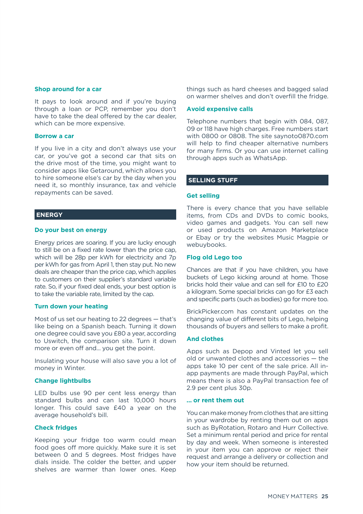#### **Shop around for a car**

It pays to look around and if you're buying through a loan or PCP, remember you don't have to take the deal offered by the car dealer, which can be more expensive.

#### **Borrow a car**

If you live in a city and don't always use your car, or you've got a second car that sits on the drive most of the time, you might want to consider apps like Getaround, which allows you to hire someone else's car by the day when you need it, so monthly insurance, tax and vehicle repayments can be saved.

#### **ENERGY**

#### **Do your best on energy**

Energy prices are soaring. If you are lucky enough to still be on a fixed rate lower than the price cap, which will be 28p per kWh for electricity and 7p per kWh for gas from April 1, then stay put. No new deals are cheaper than the price cap, which applies to customers on their supplier's standard variable rate. So, if your fixed deal ends, your best option is to take the variable rate, limited by the cap.

#### **Turn down your heating**

Most of us set our heating to 22 degrees — that's like being on a Spanish beach. Turning it down one degree could save you £80 a year, according to Uswitch, the comparison site. Turn it down more or even off and... you get the point.

Insulating your house will also save you a lot of money in Winter.

#### **Change lightbulbs**

LED bulbs use 90 per cent less energy than standard bulbs and can last 10,000 hours longer. This could save £40 a year on the average household's bill.

#### **Check fridges**

Keeping your fridge too warm could mean food goes off more quickly. Make sure it is set between 0 and 5 degrees. Most fridges have dials inside. The colder the better, and upper shelves are warmer than lower ones. Keep

things such as hard cheeses and bagged salad on warmer shelves and don't overfill the fridge.

#### **Avoid expensive calls**

Telephone numbers that begin with 084, 087, 09 or 118 have high charges. Free numbers start with 0800 or 0808. The site saynoto0870.com will help to find cheaper alternative numbers for many firms. Or you can use internet calling through apps such as WhatsApp.

#### **SELLING STUFF**

#### **Get selling**

There is every chance that you have sellable items, from CDs and DVDs to comic books, video games and gadgets. You can sell new or used products on Amazon Marketplace or Ebay or try the websites Music Magpie or webuybooks.

#### **Flog old Lego too**

Chances are that if you have children, you have buckets of Lego kicking around at home. Those bricks hold their value and can sell for £10 to £20 a kilogram. Some special bricks can go for £3 each and specific parts (such as bodies) go for more too.

BrickPicker.com has constant updates on the changing value of different bits of Lego, helping thousands of buyers and sellers to make a profit.

#### **And clothes**

Apps such as Depop and Vinted let you sell old or unwanted clothes and accessories — the apps take 10 per cent of the sale price. All inapp payments are made through PayPal, which means there is also a PayPal transaction fee of 2.9 per cent plus 30p.

#### **... or rent them out**

You can make money from clothes that are sitting in your wardrobe by renting them out on apps such as ByRotation, Rotaro and Hurr Collective. Set a minimum rental period and price for rental by day and week. When someone is interested in your item you can approve or reject their request and arrange a delivery or collection and how your item should be returned.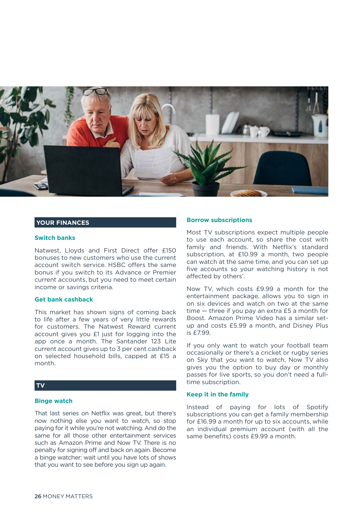![](_page_25_Picture_0.jpeg)

#### **YOUR FINANCES**

#### **Switch banks**

Natwest, Lloyds and First Direct offer £150 bonuses to new customers who use the current account switch service. HSBC offers the same bonus if you switch to its Advance or Premier current accounts, but you need to meet certain income or savings criteria.

#### **Get bank cashback**

This market has shown signs of coming back to life after a few years of very little rewards for customers. The Natwest Reward current account gives you £1 just for logging into the app once a month. The Santander 123 Lite current account gives up to 3 per cent cashback on selected household bills, capped at £15 a month.

#### **TV**

#### **Binge watch**

That last series on Netflix was great, but there's now nothing else you want to watch, so stop paying for it while you're not watching. And do the same for all those other entertainment services such as Amazon Prime and Now TV. There is no penalty for signing off and back on again. Become a binge watcher: wait until you have lots of shows that you want to see before you sign up again.

#### **Borrow subscriptions**

Most TV subscriptions expect multiple people to use each account, so share the cost with family and friends. With Netflix's standard subscription, at £10.99 a month, two people can watch at the same time, and you can set up five accounts so your watching history is not affected by others'.

Now TV, which costs £9.99 a month for the entertainment package, allows you to sign in on six devices and watch on two at the same time — three if you pay an extra £5 a month for Boost. Amazon Prime Video has a similar setup and costs £5.99 a month, and Disney Plus is £7.99.

If you only want to watch your football team occasionally or there's a cricket or rugby series on Sky that you want to watch, Now TV also gives you the option to buy day or monthly passes for live sports, so you don't need a fulltime subscription.

#### **Keep it in the family**

Instead of paying for lots of Spotify subscriptions you can get a family membership for £16.99 a month for up to six accounts, while an individual premium account (with all the same benefits) costs £9.99 a month.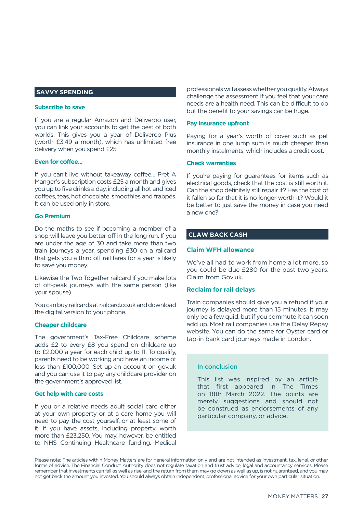#### **SAVVY SPENDING**

#### **Subscribe to save**

If you are a regular Amazon and Deliveroo user, you can link your accounts to get the best of both worlds. This gives you a year of Deliveroo Plus (worth £3.49 a month), which has unlimited free delivery when you spend £25.

#### **Even for coffee...**

If you can't live without takeaway coffee… Pret A Manger's subscription costs £25 a month and gives you up to five drinks a day, including all hot and iced coffees, teas, hot chocolate, smoothies and frappés. It can be used only in store.

#### **Go Premium**

Do the maths to see if becoming a member of a shop will leave you better off in the long run. If you are under the age of 30 and take more than two train journeys a year, spending £30 on a railcard that gets you a third off rail fares for a year is likely to save you money.

Likewise the Two Together railcard if you make lots of off-peak journeys with the same person (like your spouse).

You can buy railcards at railcard.co.uk and download the digital version to your phone.

#### **Cheaper childcare**

The government's Tax-Free Childcare scheme adds £2 to every £8 you spend on childcare up to £2,000 a year for each child up to 11. To qualify, parents need to be working and have an income of less than £100,000. Set up an account on gov.uk and you can use it to pay any childcare provider on the government's approved list.

#### **Get help with care costs**

If you or a relative needs adult social care either at your own property or at a care home you will need to pay the cost yourself, or at least some of it, if you have assets, including property, worth more than £23,250. You may, however, be entitled to NHS Continuing Healthcare funding. Medical

professionals will assess whether you qualify. Always challenge the assessment if you feel that your care needs are a health need. This can be difficult to do but the benefit to your savings can be huge.

#### **Pay insurance upfront**

Paying for a year's worth of cover such as pet insurance in one lump sum is much cheaper than monthly instalments, which includes a credit cost.

#### **Check warranties**

If you're paying for guarantees for items such as electrical goods, check that the cost is still worth it. Can the shop definitely still repair it? Has the cost of it fallen so far that it is no longer worth it? Would it be better to just save the money in case you need a new one?

#### **CLAW BACK CASH**

#### **Claim WFH allowance**

We've all had to work from home a lot more, so you could be due £280 for the past two years. Claim from Gov.uk.

#### **Reclaim for rail delays**

Train companies should give you a refund if your journey is delayed more than 15 minutes. It may only be a few quid, but if you commute it can soon add up. Most rail companies use the Delay Repay website. You can do the same for Oyster card or tap-in bank card journeys made in London.

#### In conclusion

This list was inspired by an article that first appeared in The Times on 18th March 2022. The points are merely suggestions and should not be construed as endorsements of any particular company, or advice.

Please note: The articles within Money Matters are for general information only and are not intended as investment, tax, legal, or other forms of advice. The Financial Conduct Authority does not regulate taxation and trust advice, legal and accountancy services. Please remember that investments can fall as well as rise, and the return from them may go down as well as up, is not guaranteed, and you may not get back the amount you invested. You should always obtain independent, professional advice for your own particular situation.